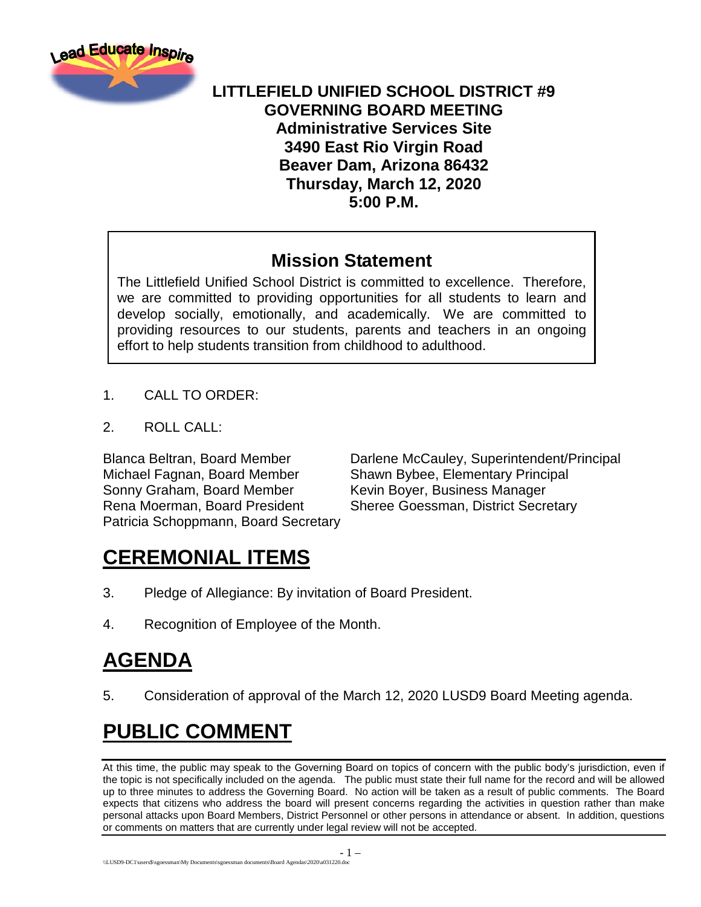

#### **LITTLEFIELD UNIFIED SCHOOL DISTRICT #9 GOVERNING BOARD MEETING Administrative Services Site 3490 East Rio Virgin Road Beaver Dam, Arizona 86432 Thursday, March 12, 2020 5:00 P.M.**

### **Mission Statement**

The Littlefield Unified School District is committed to excellence. Therefore, we are committed to providing opportunities for all students to learn and develop socially, emotionally, and academically. We are committed to providing resources to our students, parents and teachers in an ongoing effort to help students transition from childhood to adulthood.

- 1. CALL TO ORDER:
- 2. ROLL CALL:

Michael Fagnan, Board Member Shawn Bybee, Elementary Principal Sonny Graham, Board Member Kevin Boyer, Business Manager Rena Moerman, Board President Sheree Goessman, District Secretary Patricia Schoppmann, Board Secretary

Blanca Beltran, Board Member Darlene McCauley, Superintendent/Principal

# **CEREMONIAL ITEMS**

- 3. Pledge of Allegiance: By invitation of Board President.
- 4. Recognition of Employee of the Month.

# **AGENDA**

5. Consideration of approval of the March 12, 2020 LUSD9 Board Meeting agenda.

# **PUBLIC COMMENT**

At this time, the public may speak to the Governing Board on topics of concern with the public body's jurisdiction, even if the topic is not specifically included on the agenda. The public must state their full name for the record and will be allowed up to three minutes to address the Governing Board. No action will be taken as a result of public comments. The Board expects that citizens who address the board will present concerns regarding the activities in question rather than make personal attacks upon Board Members, District Personnel or other persons in attendance or absent. In addition, questions or comments on matters that are currently under legal review will not be accepted.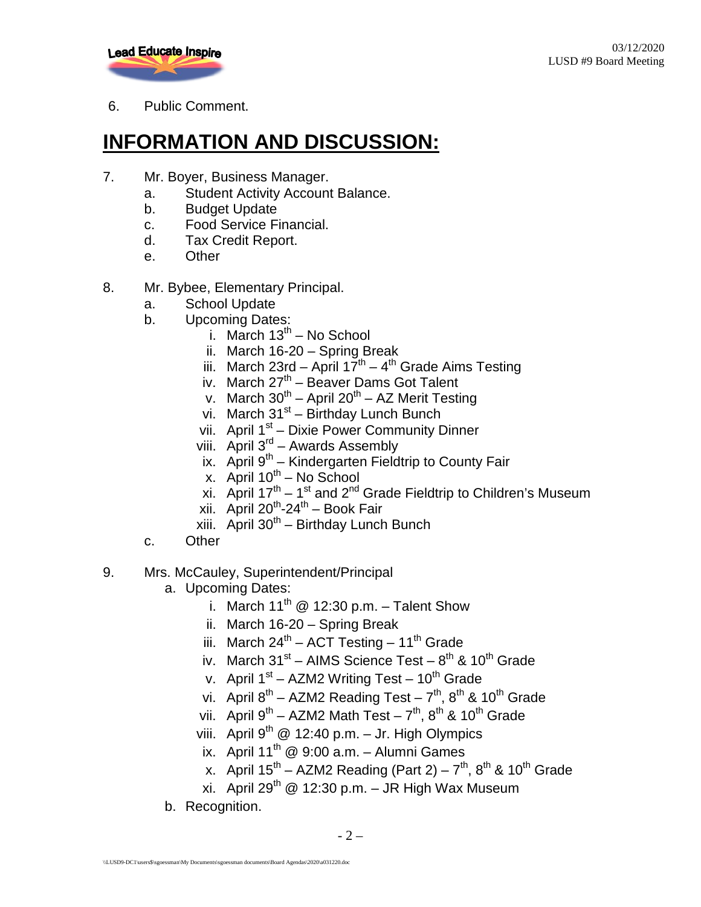

6. Public Comment.

# **INFORMATION AND DISCUSSION:**

- 7. Mr. Boyer, Business Manager.
	- a. Student Activity Account Balance.
	- b. Budget Update
	- c. Food Service Financial.
	- d. Tax Credit Report.
	- e. Other
- 8. Mr. Bybee, Elementary Principal.
	- a. School Update
	- b. Upcoming Dates:
		- i. March  $13^{th}$  No School
		- ii. March 16-20 Spring Break
		- iii. March 23rd April  $17^{th}$   $4^{th}$  Grade Aims Testing
		- iv. March  $27<sup>th</sup>$  Beaver Dams Got Talent
		- v. March  $30^{th}$  April  $20^{th}$  AZ Merit Testing
		- vi. March  $31<sup>st</sup>$  Birthday Lunch Bunch
		- vii. April 1<sup>st</sup> Dixie Power Community Dinner
		- viii. April  $3^{rd}$  Awards Assembly
		- ix. April  $9^{th}$  Kindergarten Fieldtrip to County Fair
		- x. April  $10^{th}$  No School
		- xi. April  $17^{th} 1^{st}$  and  $2^{nd}$  Grade Fieldtrip to Children's Museum
		- xii. April  $20^{th}$ -24<sup>th</sup> Book Fair
		- xiii. April  $30<sup>th</sup>$  Birthday Lunch Bunch
	- c. Other
- 9. Mrs. McCauley, Superintendent/Principal
	- a. Upcoming Dates:
		- i. March 11<sup>th</sup> @ 12:30 p.m. Talent Show
		- ii. March 16-20 Spring Break
		- iii. March  $24^{th}$  ACT Testing 11<sup>th</sup> Grade
		- iv. March  $31^{st}$  AIMS Science Test  $8^{th}$  &  $10^{th}$  Grade
		- v. April  $1<sup>st</sup> AZM2$  Writing Test  $10<sup>th</sup>$  Grade
		- vi. April  $8^{th}$  AZM2 Reading Test  $7^{th}$ ,  $8^{th}$  & 10<sup>th</sup> Grade
		- vii. April  $9^{th}$  AZM2 Math Test  $7^{th}$ ,  $8^{th}$  &  $10^{th}$  Grade
		- viii. April  $9^{th}$  @ 12:40 p.m. Jr. High Olympics
		- ix. April  $11^{th}$  @ 9:00 a.m. Alumni Games
		- x. April  $15^{th}$  AZM2 Reading (Part 2)  $7^{th}$ ,  $8^{th}$  &  $10^{th}$  Grade
		- xi. April 29<sup>th</sup> @ 12:30 p.m. JR High Wax Museum
	- b. Recognition.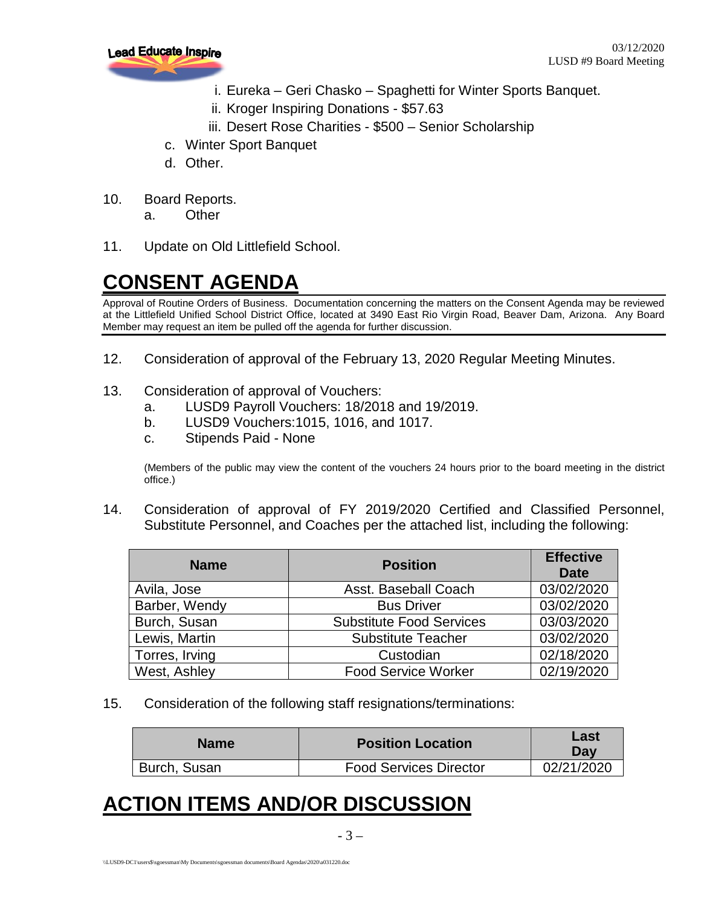

- i. Eureka Geri Chasko Spaghetti for Winter Sports Banquet.
- ii. Kroger Inspiring Donations \$57.63
- iii. Desert Rose Charities \$500 Senior Scholarship
- c. Winter Sport Banquet
- d. Other.
- 10. Board Reports.
	- a. Other
- 11. Update on Old Littlefield School.

# **CONSENT AGENDA**

Approval of Routine Orders of Business. Documentation concerning the matters on the Consent Agenda may be reviewed at the Littlefield Unified School District Office, located at 3490 East Rio Virgin Road, Beaver Dam, Arizona. Any Board Member may request an item be pulled off the agenda for further discussion.

- 12. Consideration of approval of the February 13, 2020 Regular Meeting Minutes.
- 13. Consideration of approval of Vouchers:
	- a. LUSD9 Payroll Vouchers: 18/2018 and 19/2019.
	- b. LUSD9 Vouchers:1015, 1016, and 1017.
	- c. Stipends Paid None

(Members of the public may view the content of the vouchers 24 hours prior to the board meeting in the district office.)

14. Consideration of approval of FY 2019/2020 Certified and Classified Personnel, Substitute Personnel, and Coaches per the attached list, including the following:

| <b>Name</b>    | <b>Position</b>                 | <b>Effective</b><br>Date |
|----------------|---------------------------------|--------------------------|
| Avila, Jose    | Asst. Baseball Coach            | 03/02/2020               |
| Barber, Wendy  | <b>Bus Driver</b>               | 03/02/2020               |
| Burch, Susan   | <b>Substitute Food Services</b> | 03/03/2020               |
| Lewis, Martin  | <b>Substitute Teacher</b>       | 03/02/2020               |
| Torres, Irving | Custodian                       | 02/18/2020               |
| West, Ashley   | <b>Food Service Worker</b>      | 02/19/2020               |

15. Consideration of the following staff resignations/terminations:

| <b>Name</b>  | <b>Position Location</b>      | Last<br>Dav |
|--------------|-------------------------------|-------------|
| Burch, Susan | <b>Food Services Director</b> | 02/21/2020  |

## **ACTION ITEMS AND/OR DISCUSSION**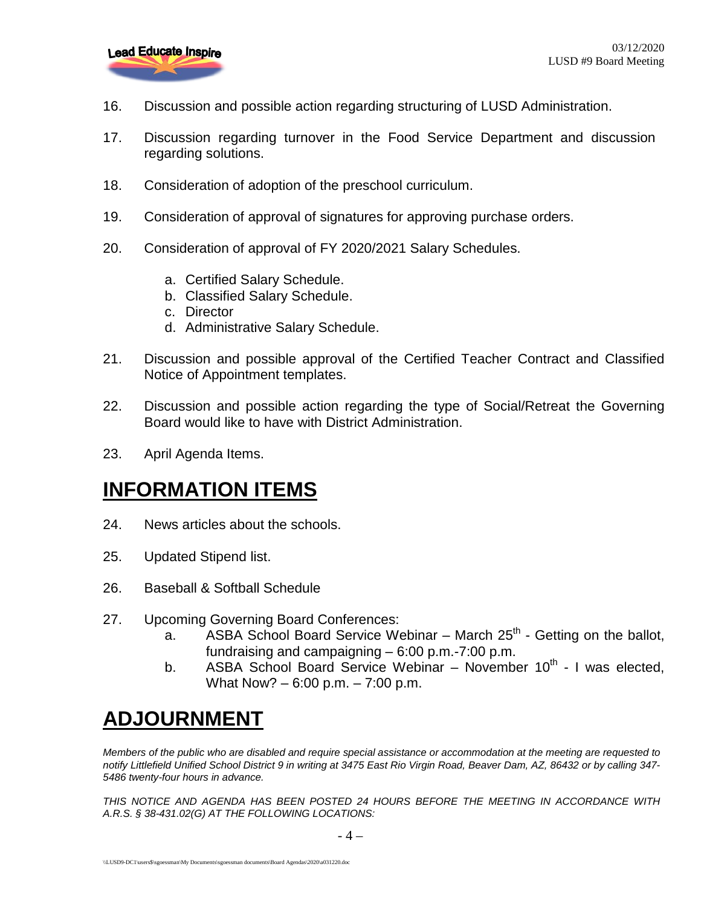

- 16. Discussion and possible action regarding structuring of LUSD Administration.
- 17. Discussion regarding turnover in the Food Service Department and discussion regarding solutions.
- 18. Consideration of adoption of the preschool curriculum.
- 19. Consideration of approval of signatures for approving purchase orders.
- 20. Consideration of approval of FY 2020/2021 Salary Schedules.
	- a. Certified Salary Schedule.
	- b. Classified Salary Schedule.
	- c. Director
	- d. Administrative Salary Schedule.
- 21. Discussion and possible approval of the Certified Teacher Contract and Classified Notice of Appointment templates.
- 22. Discussion and possible action regarding the type of Social/Retreat the Governing Board would like to have with District Administration.
- 23. April Agenda Items.

### **INFORMATION ITEMS**

- 24. News articles about the schools.
- 25. Updated Stipend list.
- 26. Baseball & Softball Schedule
- 27. Upcoming Governing Board Conferences:
	- a. ASBA School Board Service Webinar March  $25<sup>th</sup>$  Getting on the ballot, fundraising and campaigning – 6:00 p.m.-7:00 p.m.
	- b. ASBA School Board Service Webinar November  $10^{th}$  I was elected, What Now? – 6:00 p.m. – 7:00 p.m.

# **ADJOURNMENT**

*Members of the public who are disabled and require special assistance or accommodation at the meeting are requested to notify Littlefield Unified School District 9 in writing at 3475 East Rio Virgin Road, Beaver Dam, AZ, 86432 or by calling 347- 5486 twenty-four hours in advance.* 

*THIS NOTICE AND AGENDA HAS BEEN POSTED 24 HOURS BEFORE THE MEETING IN ACCORDANCE WITH A.R.S. § 38-431.02(G) AT THE FOLLOWING LOCATIONS:*